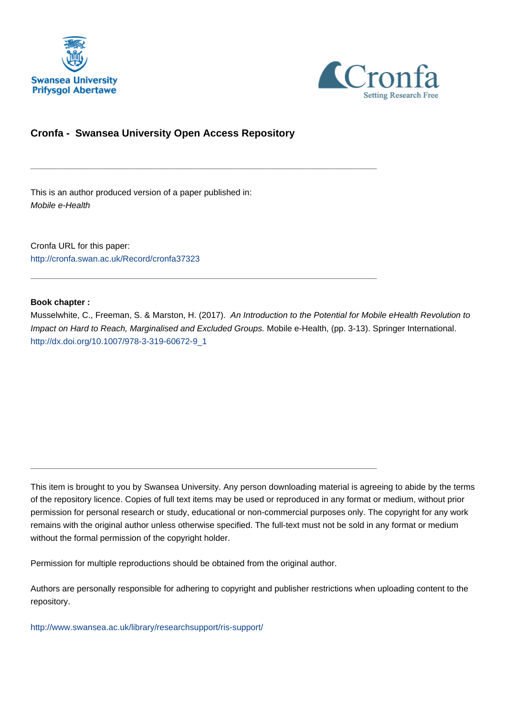



# **Cronfa - Swansea University Open Access Repository**

\_\_\_\_\_\_\_\_\_\_\_\_\_\_\_\_\_\_\_\_\_\_\_\_\_\_\_\_\_\_\_\_\_\_\_\_\_\_\_\_\_\_\_\_\_\_\_\_\_\_\_\_\_\_\_\_\_\_\_\_\_

\_\_\_\_\_\_\_\_\_\_\_\_\_\_\_\_\_\_\_\_\_\_\_\_\_\_\_\_\_\_\_\_\_\_\_\_\_\_\_\_\_\_\_\_\_\_\_\_\_\_\_\_\_\_\_\_\_\_\_\_\_

\_\_\_\_\_\_\_\_\_\_\_\_\_\_\_\_\_\_\_\_\_\_\_\_\_\_\_\_\_\_\_\_\_\_\_\_\_\_\_\_\_\_\_\_\_\_\_\_\_\_\_\_\_\_\_\_\_\_\_\_\_

This is an author produced version of a paper published in: Mobile e-Health

Cronfa URL for this paper: <http://cronfa.swan.ac.uk/Record/cronfa37323>

### **Book chapter :**

Musselwhite, C., Freeman, S. & Marston, H. (2017). An Introduction to the Potential for Mobile eHealth Revolution to Impact on Hard to Reach, Marginalised and Excluded Groups. Mobile e-Health, (pp. 3-13). Springer International. [http://dx.doi.org/10.1007/978-3-319-60672-9\\_1](http://dx.doi.org/10.1007/978-3-319-60672-9_1)

This item is brought to you by Swansea University. Any person downloading material is agreeing to abide by the terms of the repository licence. Copies of full text items may be used or reproduced in any format or medium, without prior permission for personal research or study, educational or non-commercial purposes only. The copyright for any work remains with the original author unless otherwise specified. The full-text must not be sold in any format or medium without the formal permission of the copyright holder.

Permission for multiple reproductions should be obtained from the original author.

Authors are personally responsible for adhering to copyright and publisher restrictions when uploading content to the repository.

[http://www.swansea.ac.uk/library/researchsupport/ris-support/](http://www.swansea.ac.uk/library/researchsupport/ris-support/ )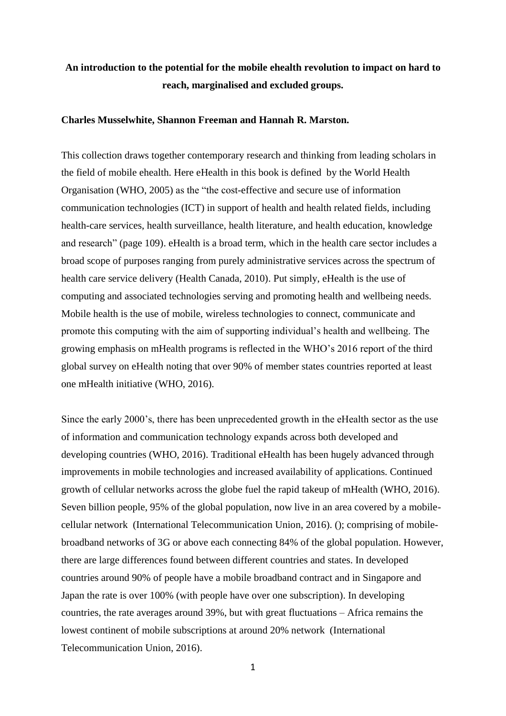# **An introduction to the potential for the mobile ehealth revolution to impact on hard to reach, marginalised and excluded groups.**

#### **Charles Musselwhite, Shannon Freeman and Hannah R. Marston.**

This collection draws together contemporary research and thinking from leading scholars in the field of mobile ehealth. Here eHealth in this book is defined by the World Health Organisation (WHO, 2005) as the "the cost-effective and secure use of information communication technologies (ICT) in support of health and health related fields, including health-care services, health surveillance, health literature, and health education, knowledge and research" (page 109). eHealth is a broad term, which in the health care sector includes a broad scope of purposes ranging from purely administrative services across the spectrum of health care service delivery (Health Canada, 2010). Put simply, eHealth is the use of computing and associated technologies serving and promoting health and wellbeing needs. Mobile health is the use of mobile, wireless technologies to connect, communicate and promote this computing with the aim of supporting individual's health and wellbeing. The growing emphasis on mHealth programs is reflected in the WHO's 2016 report of the third global survey on eHealth noting that over 90% of member states countries reported at least one mHealth initiative (WHO, 2016).

Since the early 2000's, there has been unprecedented growth in the eHealth sector as the use of information and communication technology expands across both developed and developing countries (WHO, 2016). Traditional eHealth has been hugely advanced through improvements in mobile technologies and increased availability of applications. Continued growth of cellular networks across the globe fuel the rapid takeup of mHealth (WHO, 2016). Seven billion people, 95% of the global population, now live in an area covered by a mobilecellular network (International Telecommunication Union, 2016). (); comprising of mobilebroadband networks of 3G or above each connecting 84% of the global population. However, there are large differences found between different countries and states. In developed countries around 90% of people have a mobile broadband contract and in Singapore and Japan the rate is over 100% (with people have over one subscription). In developing countries, the rate averages around 39%, but with great fluctuations – Africa remains the lowest continent of mobile subscriptions at around 20% network (International Telecommunication Union, 2016).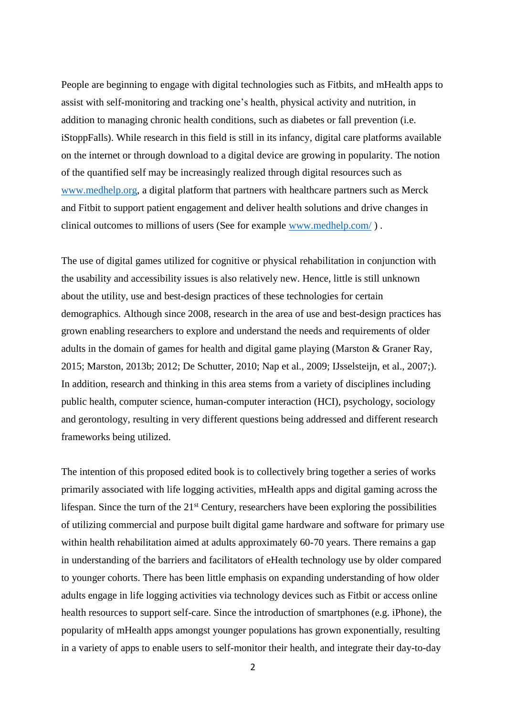People are beginning to engage with digital technologies such as Fitbits, and mHealth apps to assist with self-monitoring and tracking one's health, physical activity and nutrition, in addition to managing chronic health conditions, such as diabetes or fall prevention (i.e. iStoppFalls). While research in this field is still in its infancy, digital care platforms available on the internet or through download to a digital device are growing in popularity. The notion of the quantified self may be increasingly realized through digital resources such as www.medhelp.org, a digital platform that partners with healthcare partners such as Merck and Fitbit to support patient engagement and deliver health solutions and drive changes in clinical outcomes to millions of users (See for example www.medhelp.com/ ) .

The use of digital games utilized for cognitive or physical rehabilitation in conjunction with the usability and accessibility issues is also relatively new. Hence, little is still unknown about the utility, use and best-design practices of these technologies for certain demographics. Although since 2008, research in the area of use and best-design practices has grown enabling researchers to explore and understand the needs and requirements of older adults in the domain of games for health and digital game playing (Marston & Graner Ray, 2015; Marston, 2013b; 2012; De Schutter, 2010; Nap et al., 2009; IJsselsteijn, et al., 2007;). In addition, research and thinking in this area stems from a variety of disciplines including public health, computer science, human-computer interaction (HCI), psychology, sociology and gerontology, resulting in very different questions being addressed and different research frameworks being utilized.

The intention of this proposed edited book is to collectively bring together a series of works primarily associated with life logging activities, mHealth apps and digital gaming across the lifespan. Since the turn of the  $21<sup>st</sup>$  Century, researchers have been exploring the possibilities of utilizing commercial and purpose built digital game hardware and software for primary use within health rehabilitation aimed at adults approximately 60-70 years. There remains a gap in understanding of the barriers and facilitators of eHealth technology use by older compared to younger cohorts. There has been little emphasis on expanding understanding of how older adults engage in life logging activities via technology devices such as Fitbit or access online health resources to support self-care. Since the introduction of smartphones (e.g. iPhone), the popularity of mHealth apps amongst younger populations has grown exponentially, resulting in a variety of apps to enable users to self-monitor their health, and integrate their day-to-day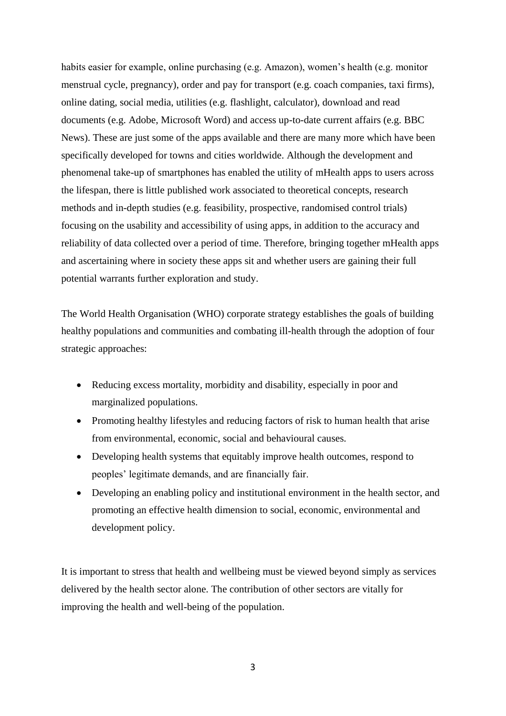habits easier for example, online purchasing (e.g. Amazon), women's health (e.g. monitor menstrual cycle, pregnancy), order and pay for transport (e.g. coach companies, taxi firms), online dating, social media, utilities (e.g. flashlight, calculator), download and read documents (e.g. Adobe, Microsoft Word) and access up-to-date current affairs (e.g. BBC News). These are just some of the apps available and there are many more which have been specifically developed for towns and cities worldwide. Although the development and phenomenal take-up of smartphones has enabled the utility of mHealth apps to users across the lifespan, there is little published work associated to theoretical concepts, research methods and in-depth studies (e.g. feasibility, prospective, randomised control trials) focusing on the usability and accessibility of using apps, in addition to the accuracy and reliability of data collected over a period of time. Therefore, bringing together mHealth apps and ascertaining where in society these apps sit and whether users are gaining their full potential warrants further exploration and study.

The World Health Organisation (WHO) corporate strategy establishes the goals of building healthy populations and communities and combating ill-health through the adoption of four strategic approaches:

- Reducing excess mortality, morbidity and disability, especially in poor and marginalized populations.
- Promoting healthy lifestyles and reducing factors of risk to human health that arise from environmental, economic, social and behavioural causes.
- Developing health systems that equitably improve health outcomes, respond to peoples' legitimate demands, and are financially fair.
- Developing an enabling policy and institutional environment in the health sector, and promoting an effective health dimension to social, economic, environmental and development policy.

It is important to stress that health and wellbeing must be viewed beyond simply as services delivered by the health sector alone. The contribution of other sectors are vitally for improving the health and well-being of the population.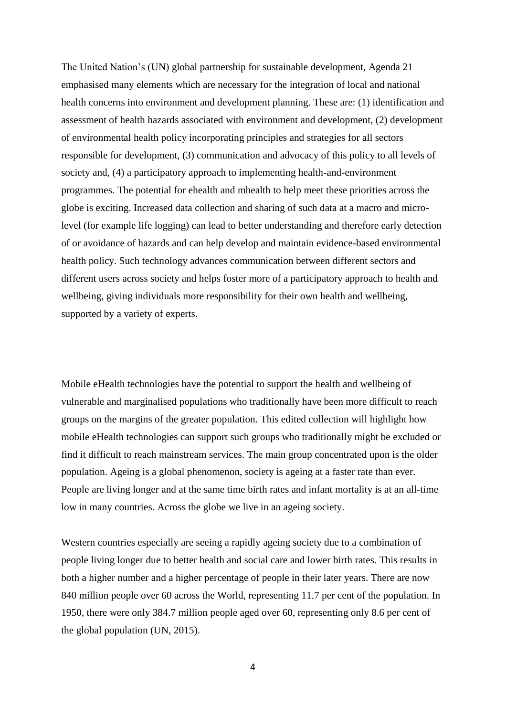The United Nation's (UN) global partnership for sustainable development, Agenda 21 emphasised many elements which are necessary for the integration of local and national health concerns into environment and development planning. These are: (1) identification and assessment of health hazards associated with environment and development, (2) development of environmental health policy incorporating principles and strategies for all sectors responsible for development, (3) communication and advocacy of this policy to all levels of society and, (4) a participatory approach to implementing health-and-environment programmes. The potential for ehealth and mhealth to help meet these priorities across the globe is exciting. Increased data collection and sharing of such data at a macro and microlevel (for example life logging) can lead to better understanding and therefore early detection of or avoidance of hazards and can help develop and maintain evidence-based environmental health policy. Such technology advances communication between different sectors and different users across society and helps foster more of a participatory approach to health and wellbeing, giving individuals more responsibility for their own health and wellbeing, supported by a variety of experts.

Mobile eHealth technologies have the potential to support the health and wellbeing of vulnerable and marginalised populations who traditionally have been more difficult to reach groups on the margins of the greater population. This edited collection will highlight how mobile eHealth technologies can support such groups who traditionally might be excluded or find it difficult to reach mainstream services. The main group concentrated upon is the older population. Ageing is a global phenomenon, society is ageing at a faster rate than ever. People are living longer and at the same time birth rates and infant mortality is at an all-time low in many countries. Across the globe we live in an ageing society.

Western countries especially are seeing a rapidly ageing society due to a combination of people living longer due to better health and social care and lower birth rates. This results in both a higher number and a higher percentage of people in their later years. There are now 840 million people over 60 across the World, representing 11.7 per cent of the population. In 1950, there were only 384.7 million people aged over 60, representing only 8.6 per cent of the global population (UN, 2015).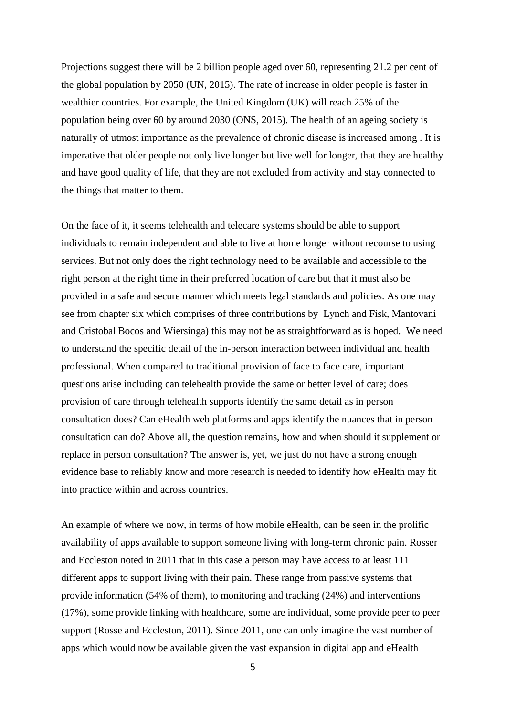Projections suggest there will be 2 billion people aged over 60, representing 21.2 per cent of the global population by 2050 (UN, 2015). The rate of increase in older people is faster in wealthier countries. For example, the United Kingdom (UK) will reach 25% of the population being over 60 by around 2030 (ONS, 2015). The health of an ageing society is naturally of utmost importance as the prevalence of chronic disease is increased among . It is imperative that older people not only live longer but live well for longer, that they are healthy and have good quality of life, that they are not excluded from activity and stay connected to the things that matter to them.

On the face of it, it seems telehealth and telecare systems should be able to support individuals to remain independent and able to live at home longer without recourse to using services. But not only does the right technology need to be available and accessible to the right person at the right time in their preferred location of care but that it must also be provided in a safe and secure manner which meets legal standards and policies. As one may see from chapter six which comprises of three contributions by Lynch and Fisk, Mantovani and Cristobal Bocos and Wiersinga) this may not be as straightforward as is hoped. We need to understand the specific detail of the in-person interaction between individual and health professional. When compared to traditional provision of face to face care, important questions arise including can telehealth provide the same or better level of care; does provision of care through telehealth supports identify the same detail as in person consultation does? Can eHealth web platforms and apps identify the nuances that in person consultation can do? Above all, the question remains, how and when should it supplement or replace in person consultation? The answer is, yet, we just do not have a strong enough evidence base to reliably know and more research is needed to identify how eHealth may fit into practice within and across countries.

An example of where we now, in terms of how mobile eHealth, can be seen in the prolific availability of apps available to support someone living with long-term chronic pain. Rosser and Eccleston noted in 2011 that in this case a person may have access to at least 111 different apps to support living with their pain. These range from passive systems that provide information (54% of them), to monitoring and tracking (24%) and interventions (17%), some provide linking with healthcare, some are individual, some provide peer to peer support (Rosse and Eccleston, 2011). Since 2011, one can only imagine the vast number of apps which would now be available given the vast expansion in digital app and eHealth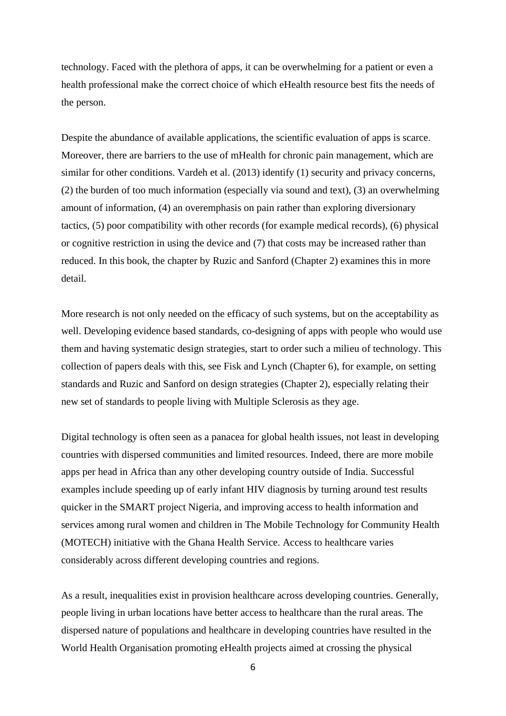technology. Faced with the plethora of apps, it can be overwhelming for a patient or even a health professional make the correct choice of which eHealth resource best fits the needs of the person.

Despite the abundance of available applications, the scientific evaluation of apps is scarce. Moreover, there are barriers to the use of mHealth for chronic pain management, which are similar for other conditions. Vardeh et al. (2013) identify (1) security and privacy concerns, (2) the burden of too much information (especially via sound and text), (3) an overwhelming amount of information, (4) an overemphasis on pain rather than exploring diversionary tactics, (5) poor compatibility with other records (for example medical records), (6) physical or cognitive restriction in using the device and (7) that costs may be increased rather than reduced. In this book, the chapter by Ruzic and Sanford (Chapter 2) examines this in more detail.

More research is not only needed on the efficacy of such systems, but on the acceptability as well. Developing evidence based standards, co-designing of apps with people who would use them and having systematic design strategies, start to order such a milieu of technology. This collection of papers deals with this, see Fisk and Lynch (Chapter 6), for example, on setting standards and Ruzic and Sanford on design strategies (Chapter 2), especially relating their new set of standards to people living with Multiple Sclerosis as they age.

Digital technology is often seen as a panacea for global health issues, not least in developing countries with dispersed communities and limited resources. Indeed, there are more mobile apps per head in Africa than any other developing country outside of India. Successful examples include speeding up of early infant HIV diagnosis by turning around test results quicker in the SMART project Nigeria, and improving access to health information and services among rural women and children in The Mobile Technology for Community Health (MOTECH) initiative with the Ghana Health Service. Access to healthcare varies considerably across different developing countries and regions.

As a result, inequalities exist in provision healthcare across developing countries. Generally, people living in urban locations have better access to healthcare than the rural areas. The dispersed nature of populations and healthcare in developing countries have resulted in the World Health Organisation promoting eHealth projects aimed at crossing the physical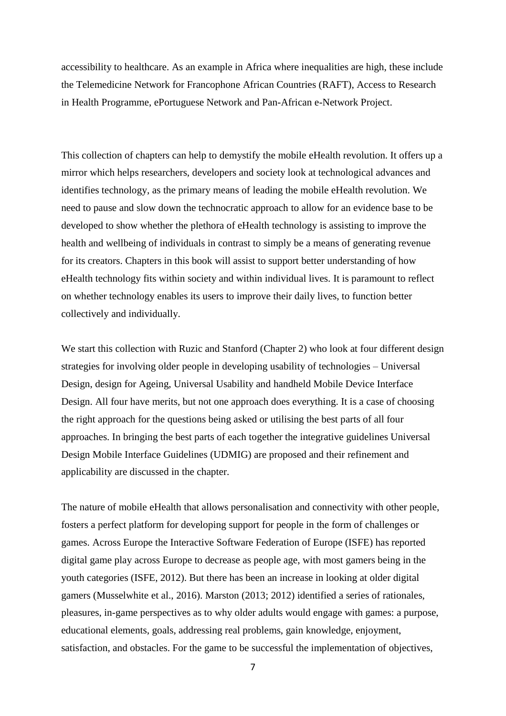accessibility to healthcare. As an example in Africa where inequalities are high, these include the Telemedicine Network for Francophone African Countries (RAFT), Access to Research in Health Programme, ePortuguese Network and Pan-African e-Network Project.

This collection of chapters can help to demystify the mobile eHealth revolution. It offers up a mirror which helps researchers, developers and society look at technological advances and identifies technology, as the primary means of leading the mobile eHealth revolution. We need to pause and slow down the technocratic approach to allow for an evidence base to be developed to show whether the plethora of eHealth technology is assisting to improve the health and wellbeing of individuals in contrast to simply be a means of generating revenue for its creators. Chapters in this book will assist to support better understanding of how eHealth technology fits within society and within individual lives. It is paramount to reflect on whether technology enables its users to improve their daily lives, to function better collectively and individually.

We start this collection with Ruzic and Stanford (Chapter 2) who look at four different design strategies for involving older people in developing usability of technologies – Universal Design, design for Ageing, Universal Usability and handheld Mobile Device Interface Design. All four have merits, but not one approach does everything. It is a case of choosing the right approach for the questions being asked or utilising the best parts of all four approaches. In bringing the best parts of each together the integrative guidelines Universal Design Mobile Interface Guidelines (UDMIG) are proposed and their refinement and applicability are discussed in the chapter.

The nature of mobile eHealth that allows personalisation and connectivity with other people, fosters a perfect platform for developing support for people in the form of challenges or games. Across Europe the Interactive Software Federation of Europe (ISFE) has reported digital game play across Europe to decrease as people age, with most gamers being in the youth categories (ISFE, 2012). But there has been an increase in looking at older digital gamers (Musselwhite et al., 2016). Marston (2013; 2012) identified a series of rationales, pleasures, in-game perspectives as to why older adults would engage with games: a purpose, educational elements, goals, addressing real problems, gain knowledge, enjoyment, satisfaction, and obstacles. For the game to be successful the implementation of objectives,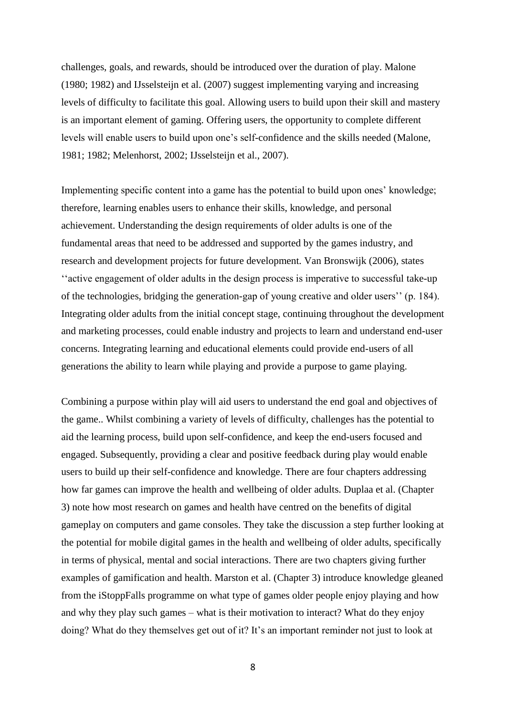challenges, goals, and rewards, should be introduced over the duration of play. Malone (1980; 1982) and IJsselsteijn et al. (2007) suggest implementing varying and increasing levels of difficulty to facilitate this goal. Allowing users to build upon their skill and mastery is an important element of gaming. Offering users, the opportunity to complete different levels will enable users to build upon one's self-confidence and the skills needed (Malone, 1981; 1982; Melenhorst, 2002; IJsselsteijn et al., 2007).

Implementing specific content into a game has the potential to build upon ones' knowledge; therefore, learning enables users to enhance their skills, knowledge, and personal achievement. Understanding the design requirements of older adults is one of the fundamental areas that need to be addressed and supported by the games industry, and research and development projects for future development. Van Bronswijk (2006), states ''active engagement of older adults in the design process is imperative to successful take-up of the technologies, bridging the generation-gap of young creative and older users'' (p. 184). Integrating older adults from the initial concept stage, continuing throughout the development and marketing processes, could enable industry and projects to learn and understand end-user concerns. Integrating learning and educational elements could provide end-users of all generations the ability to learn while playing and provide a purpose to game playing.

Combining a purpose within play will aid users to understand the end goal and objectives of the game.. Whilst combining a variety of levels of difficulty, challenges has the potential to aid the learning process, build upon self-confidence, and keep the end-users focused and engaged. Subsequently, providing a clear and positive feedback during play would enable users to build up their self-confidence and knowledge. There are four chapters addressing how far games can improve the health and wellbeing of older adults. Duplaa et al. (Chapter 3) note how most research on games and health have centred on the benefits of digital gameplay on computers and game consoles. They take the discussion a step further looking at the potential for mobile digital games in the health and wellbeing of older adults, specifically in terms of physical, mental and social interactions. There are two chapters giving further examples of gamification and health. Marston et al. (Chapter 3) introduce knowledge gleaned from the iStoppFalls programme on what type of games older people enjoy playing and how and why they play such games – what is their motivation to interact? What do they enjoy doing? What do they themselves get out of it? It's an important reminder not just to look at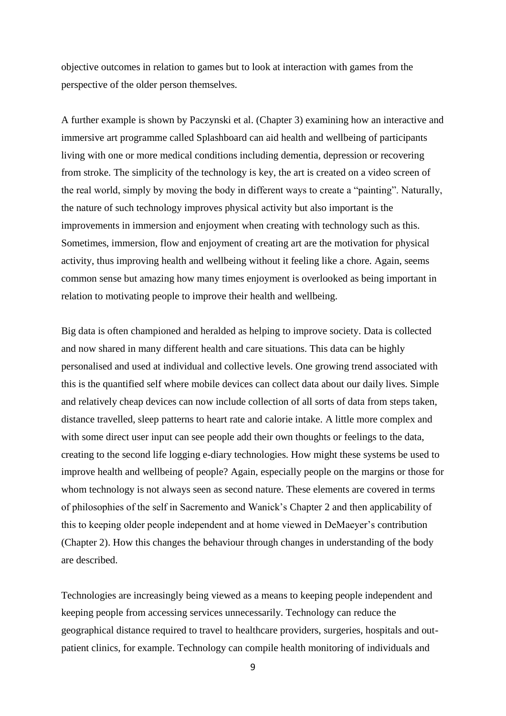objective outcomes in relation to games but to look at interaction with games from the perspective of the older person themselves.

A further example is shown by Paczynski et al. (Chapter 3) examining how an interactive and immersive art programme called Splashboard can aid health and wellbeing of participants living with one or more medical conditions including dementia, depression or recovering from stroke. The simplicity of the technology is key, the art is created on a video screen of the real world, simply by moving the body in different ways to create a "painting". Naturally, the nature of such technology improves physical activity but also important is the improvements in immersion and enjoyment when creating with technology such as this. Sometimes, immersion, flow and enjoyment of creating art are the motivation for physical activity, thus improving health and wellbeing without it feeling like a chore. Again, seems common sense but amazing how many times enjoyment is overlooked as being important in relation to motivating people to improve their health and wellbeing.

Big data is often championed and heralded as helping to improve society. Data is collected and now shared in many different health and care situations. This data can be highly personalised and used at individual and collective levels. One growing trend associated with this is the quantified self where mobile devices can collect data about our daily lives. Simple and relatively cheap devices can now include collection of all sorts of data from steps taken, distance travelled, sleep patterns to heart rate and calorie intake. A little more complex and with some direct user input can see people add their own thoughts or feelings to the data, creating to the second life logging e-diary technologies. How might these systems be used to improve health and wellbeing of people? Again, especially people on the margins or those for whom technology is not always seen as second nature. These elements are covered in terms of philosophies of the self in Sacremento and Wanick's Chapter 2 and then applicability of this to keeping older people independent and at home viewed in DeMaeyer's contribution (Chapter 2). How this changes the behaviour through changes in understanding of the body are described.

Technologies are increasingly being viewed as a means to keeping people independent and keeping people from accessing services unnecessarily. Technology can reduce the geographical distance required to travel to healthcare providers, surgeries, hospitals and outpatient clinics, for example. Technology can compile health monitoring of individuals and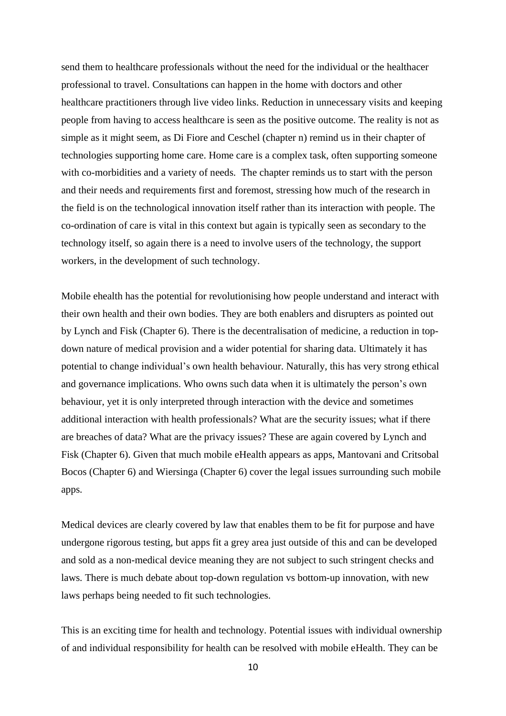send them to healthcare professionals without the need for the individual or the healthacer professional to travel. Consultations can happen in the home with doctors and other healthcare practitioners through live video links. Reduction in unnecessary visits and keeping people from having to access healthcare is seen as the positive outcome. The reality is not as simple as it might seem, as Di Fiore and Ceschel (chapter n) remind us in their chapter of technologies supporting home care. Home care is a complex task, often supporting someone with co-morbidities and a variety of needs. The chapter reminds us to start with the person and their needs and requirements first and foremost, stressing how much of the research in the field is on the technological innovation itself rather than its interaction with people. The co-ordination of care is vital in this context but again is typically seen as secondary to the technology itself, so again there is a need to involve users of the technology, the support workers, in the development of such technology.

Mobile ehealth has the potential for revolutionising how people understand and interact with their own health and their own bodies. They are both enablers and disrupters as pointed out by Lynch and Fisk (Chapter 6). There is the decentralisation of medicine, a reduction in topdown nature of medical provision and a wider potential for sharing data. Ultimately it has potential to change individual's own health behaviour. Naturally, this has very strong ethical and governance implications. Who owns such data when it is ultimately the person's own behaviour, yet it is only interpreted through interaction with the device and sometimes additional interaction with health professionals? What are the security issues; what if there are breaches of data? What are the privacy issues? These are again covered by Lynch and Fisk (Chapter 6). Given that much mobile eHealth appears as apps, Mantovani and Critsobal Bocos (Chapter 6) and Wiersinga (Chapter 6) cover the legal issues surrounding such mobile apps.

Medical devices are clearly covered by law that enables them to be fit for purpose and have undergone rigorous testing, but apps fit a grey area just outside of this and can be developed and sold as a non-medical device meaning they are not subject to such stringent checks and laws. There is much debate about top-down regulation vs bottom-up innovation, with new laws perhaps being needed to fit such technologies.

This is an exciting time for health and technology. Potential issues with individual ownership of and individual responsibility for health can be resolved with mobile eHealth. They can be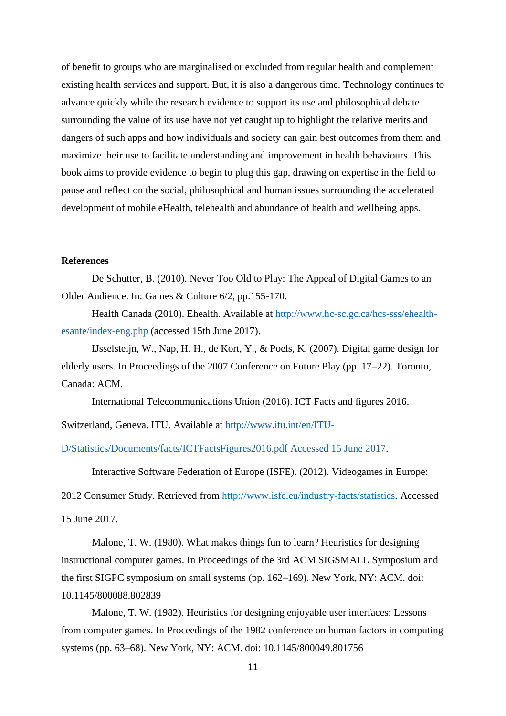of benefit to groups who are marginalised or excluded from regular health and complement existing health services and support. But, it is also a dangerous time. Technology continues to advance quickly while the research evidence to support its use and philosophical debate surrounding the value of its use have not yet caught up to highlight the relative merits and dangers of such apps and how individuals and society can gain best outcomes from them and maximize their use to facilitate understanding and improvement in health behaviours. This book aims to provide evidence to begin to plug this gap, drawing on expertise in the field to pause and reflect on the social, philosophical and human issues surrounding the accelerated development of mobile eHealth, telehealth and abundance of health and wellbeing apps.

## **References**

De Schutter, B. (2010). Never Too Old to Play: The Appeal of Digital Games to an Older Audience. In: Games & Culture 6/2, pp.155-170.

Health Canada (2010). Ehealth. Available at http://www.hc-sc.gc.ca/hcs-sss/ehealthesante/index-eng.php (accessed 15th June 2017).

IJsselsteijn, W., Nap, H. H., de Kort, Y., & Poels, K. (2007). Digital game design for elderly users. In Proceedings of the 2007 Conference on Future Play (pp. 17–22). Toronto, Canada: ACM.

International Telecommunications Union (2016). ICT Facts and figures 2016.

Switzerland, Geneva. ITU. Available at http://www.itu.int/en/ITU-

D/Statistics/Documents/facts/ICTFactsFigures2016.pdf Accessed 15 June 2017.

Interactive Software Federation of Europe (ISFE). (2012). Videogames in Europe:

2012 Consumer Study. Retrieved from http://www.isfe.eu/industry-facts/statistics. Accessed 15 June 2017.

Malone, T. W. (1980). What makes things fun to learn? Heuristics for designing instructional computer games. In Proceedings of the 3rd ACM SIGSMALL Symposium and the first SIGPC symposium on small systems (pp. 162–169). New York, NY: ACM. doi: 10.1145/800088.802839

Malone, T. W. (1982). Heuristics for designing enjoyable user interfaces: Lessons from computer games. In Proceedings of the 1982 conference on human factors in computing systems (pp. 63–68). New York, NY: ACM. doi: 10.1145/800049.801756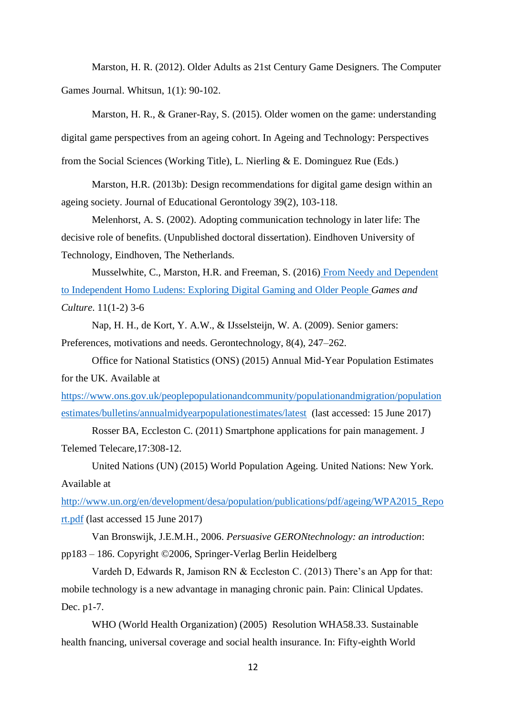Marston, H. R. (2012). Older Adults as 21st Century Game Designers. The Computer Games Journal. Whitsun, 1(1): 90-102.

Marston, H. R., & Graner-Ray, S. (2015). Older women on the game: understanding digital game perspectives from an ageing cohort. In Ageing and Technology: Perspectives from the Social Sciences (Working Title), L. Nierling & E. Dominguez Rue (Eds.)

Marston, H.R. (2013b): Design recommendations for digital game design within an ageing society. Journal of Educational Gerontology 39(2), 103-118.

Melenhorst, A. S. (2002). Adopting communication technology in later life: The decisive role of benefits. (Unpublished doctoral dissertation). Eindhoven University of Technology, Eindhoven, The Netherlands.

Musselwhite, C., Marston, H.R. and Freeman, S. (2016) From Needy and Dependent to Independent Homo Ludens: Exploring Digital Gaming and Older People *Games and Culture*. 11(1-2) 3-6

Nap, H. H., de Kort, Y. A.W., & IJsselsteijn, W. A. (2009). Senior gamers: Preferences, motivations and needs. Gerontechnology, 8(4), 247–262.

Office for National Statistics (ONS) (2015) Annual Mid-Year Population Estimates for the UK. Available at

https://www.ons.gov.uk/peoplepopulationandcommunity/populationandmigration/population estimates/bulletins/annualmidyearpopulationestimates/latest (last accessed: 15 June 2017)

Rosser BA, Eccleston C. (2011) Smartphone applications for pain management. J Telemed Telecare,17:308-12.

United Nations (UN) (2015) World Population Ageing. United Nations: New York. Available at

http://www.un.org/en/development/desa/population/publications/pdf/ageing/WPA2015\_Repo rt.pdf (last accessed 15 June 2017)

Van Bronswijk, J.E.M.H., 2006. *Persuasive GERONtechnology: an introduction*: pp183 – 186. Copyright ©2006, Springer-Verlag Berlin Heidelberg

Vardeh D, Edwards R, Jamison RN & Eccleston C. (2013) There's an App for that: mobile technology is a new advantage in managing chronic pain. Pain: Clinical Updates. Dec. p1-7.

WHO (World Health Organization) (2005) Resolution WHA58.33. Sustainable health fnancing, universal coverage and social health insurance. In: Fifty-eighth World